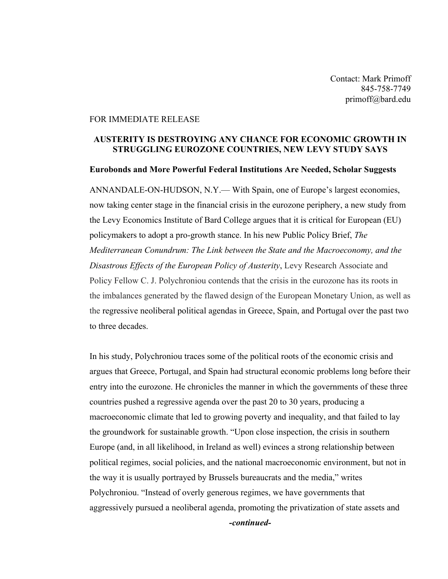Contact: Mark Primoff 845-758-7749 primoff@bard.edu

## FOR IMMEDIATE RELEASE

## **AUSTERITY IS DESTROYING ANY CHANCE FOR ECONOMIC GROWTH IN STRUGGLING EUROZONE COUNTRIES, NEW LEVY STUDY SAYS**

## **Eurobonds and More Powerful Federal Institutions Are Needed, Scholar Suggests**

ANNANDALE-ON-HUDSON, N.Y.— With Spain, one of Europe's largest economies, now taking center stage in the financial crisis in the eurozone periphery, a new study from the Levy Economics Institute of Bard College argues that it is critical for European (EU) policymakers to adopt a pro-growth stance. In his new Public Policy Brief, *The Mediterranean Conundrum: The Link between the State and the Macroeconomy, and the Disastrous Effects of the European Policy of Austerity*, Levy Research Associate and Policy Fellow C. J. Polychroniou contends that the crisis in the eurozone has its roots in the imbalances generated by the flawed design of the European Monetary Union, as well as the regressive neoliberal political agendas in Greece, Spain, and Portugal over the past two to three decades.

In his study, Polychroniou traces some of the political roots of the economic crisis and argues that Greece, Portugal, and Spain had structural economic problems long before their entry into the eurozone. He chronicles the manner in which the governments of these three countries pushed a regressive agenda over the past 20 to 30 years, producing a macroeconomic climate that led to growing poverty and inequality, and that failed to lay the groundwork for sustainable growth. "Upon close inspection, the crisis in southern Europe (and, in all likelihood, in Ireland as well) evinces a strong relationship between political regimes, social policies, and the national macroeconomic environment, but not in the way it is usually portrayed by Brussels bureaucrats and the media," writes Polychroniou. "Instead of overly generous regimes, we have governments that aggressively pursued a neoliberal agenda, promoting the privatization of state assets and

*-continued-*